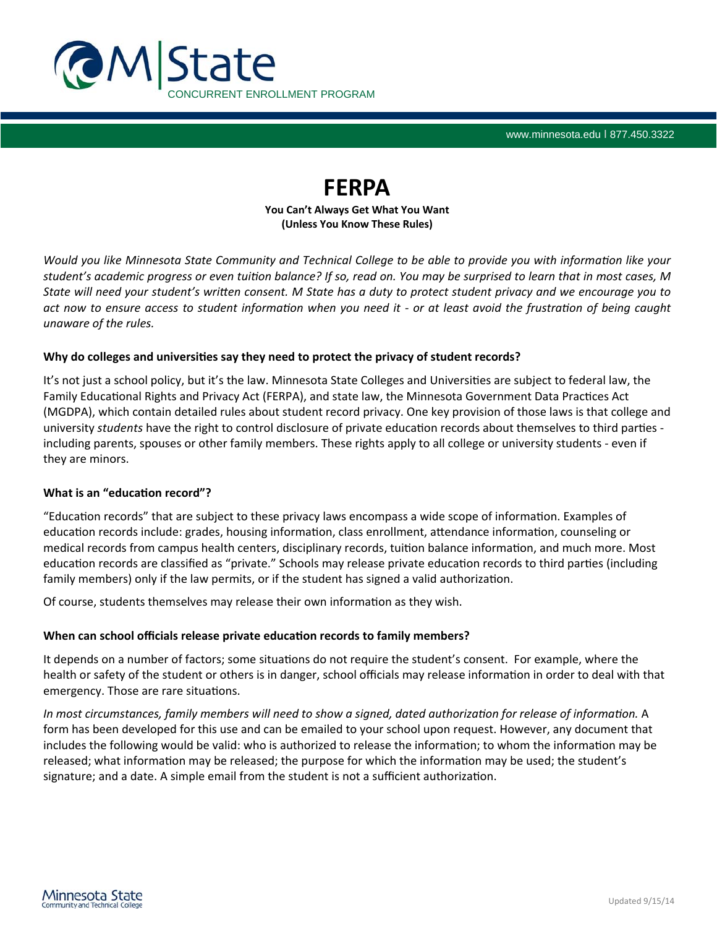

www.minnesota.edu I 877.450.3322

# **FERPA**

**You Can't Always Get What You Want (Unless You Know These Rules)**

*Would you like Minnesota State Community and Technical College to be able to provide you with information like your student's academic progress or even tuiƟon balance? If so, read on. You may be surprised to learn that in most cases, M State will need your student's wriƩen consent. M State has a duty to protect student privacy and we encourage you to act now to ensure access to student informaƟon when you need it ‐ or at least avoid the frustraƟon of being caught unaware of the rules.* 

## **Why** do colleges and universities say they need to protect the privacy of student records?

It's not just a school policy, but it's the law. Minnesota State Colleges and Universities are subject to federal law, the Family Educational Rights and Privacy Act (FERPA), and state law, the Minnesota Government Data Practices Act (MGDPA), which contain detailed rules about student record privacy. One key provision of those laws is that college and university *students* have the right to control disclosure of private education records about themselves to third parties including parents, spouses or other family members. These rights apply to all college or university students ‐ even if they are minors.

## **What is an "educaƟon record"?**

"Education records" that are subject to these privacy laws encompass a wide scope of information. Examples of education records include: grades, housing information, class enrollment, attendance information, counseling or medical records from campus health centers, disciplinary records, tuition balance information, and much more. Most education records are classified as "private." Schools may release private education records to third parties (including family members) only if the law permits, or if the student has signed a valid authorization.

Of course, students themselves may release their own information as they wish.

## **When can school officials release private educaƟon records to family members?**

It depends on a number of factors; some situations do not require the student's consent. For example, where the health or safety of the student or others is in danger, school officials may release information in order to deal with that emergency. Those are rare situations.

*In most circumstances, family members will need to show a signed, dated authorization for release of information. A* form has been developed for this use and can be emailed to your school upon request. However, any document that includes the following would be valid: who is authorized to release the information; to whom the information may be released; what information may be released; the purpose for which the information may be used; the student's signature; and a date. A simple email from the student is not a sufficient authorization.